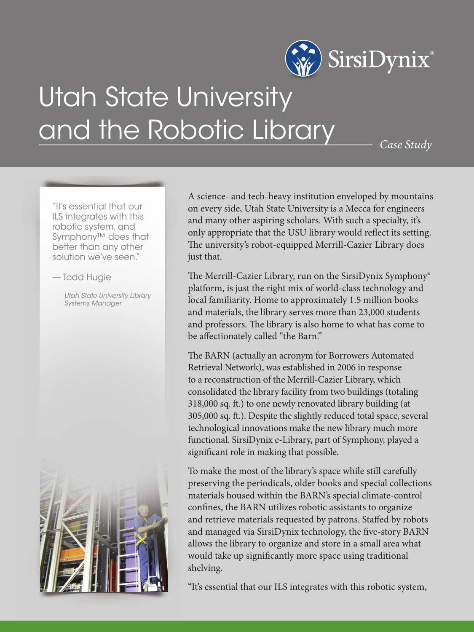

## Utah State University and the Robotic Library

*Case Study*

"It's essential that our ILS integrates with this robotic system, and Symphony™ does that better than any other solution we've seen."

## — Todd Hugie

*Utah State University Library Systems Manager*



A science- and tech-heavy institution enveloped by mountains on every side, Utah State University is a Mecca for engineers and many other aspiring scholars. With such a specialty, it's only appropriate that the USU library would reflect its setting. The university's robot-equipped Merrill-Cazier Library does just that.

The Merrill-Cazier Library, run on the SirsiDynix Symphony® platform, is just the right mix of world-class technology and local familiarity. Home to approximately 1.5 million books and materials, the library serves more than 23,000 students and professors. The library is also home to what has come to be affectionately called "the Barn."

The BARN (actually an acronym for Borrowers Automated Retrieval Network), was established in 2006 in response to a reconstruction of the Merrill-Cazier Library, which consolidated the library facility from two buildings (totaling 318,000 sq. ft.) to one newly renovated library building (at 305,000 sq. ft.). Despite the slightly reduced total space, several technological innovations make the new library much more functional. SirsiDynix e-Library, part of Symphony, played a significant role in making that possible.

To make the most of the library's space while still carefully preserving the periodicals, older books and special collections materials housed within the BARN's special climate-control confines, the BARN utilizes robotic assistants to organize and retrieve materials requested by patrons. Staffed by robots and managed via SirsiDynix technology, the five-story BARN allows the library to organize and store in a small area what would take up significantly more space using traditional shelving.

"It's essential that our ILS integrates with this robotic system,